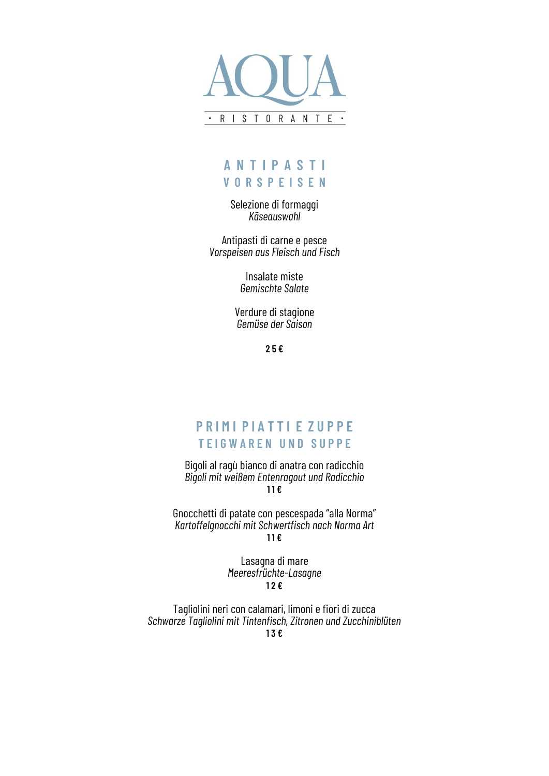

# **A N T I P A S T I V O R S P E I S E N**

Selezione di formaggi *Käseauswahl* 

Antipasti di carne e pesce *Vorspeisen aus Fleisch und Fisch* 

> Insalate miste *Gemischte Salate*

Verdure di stagione *Gemüse der Saison*

**2 5 €**

## **P R I M I P I A T T I E Z U P P E T E I G W A R E N U N D S U P P E**

Bigoli al ragù bianco di anatra con radicchio *Bigoli mit weißem Entenragout und Radicchio* **1 1 €**

Gnocchetti di patate con pescespada "alla Norma" *Kartoffelgnocchi mit Schwertfisch nach Norma Art* **1 1 €**

> Lasagna di mare *Meeresfrüchte-Lasagne* **1 2 €**

Tagliolini neri con calamari, limoni e fiori di zucca *Schwarze Tagliolini mit Tintenfisch, Zitronen und Zucchiniblüten* **1 3 €**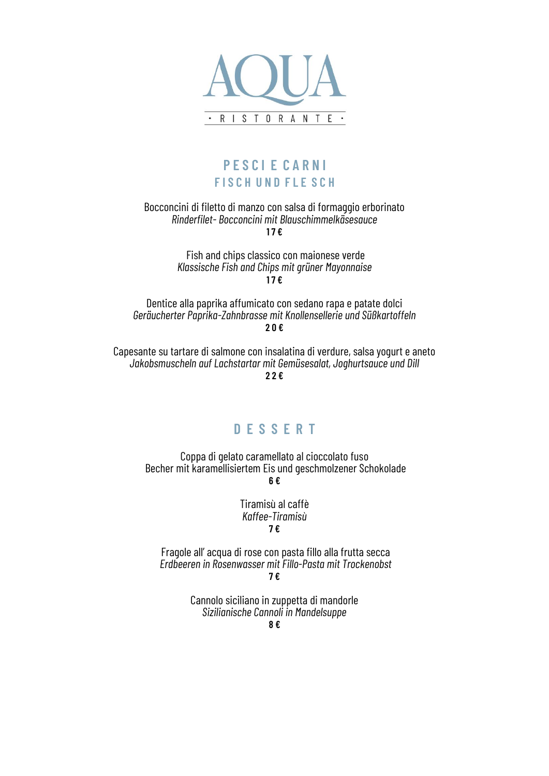

## **P E S C I E C A R N I F I S C H U N D F L E S C H**

#### Bocconcini di filetto di manzo con salsa di formaggio erborinato *Rinderfilet- Bocconcini mit Blauschimmelkäsesauce* **1 7 €**

Fish and chips classico con maionese verde *Klassische Fish and Chips mit grüner Mayonnaise* **17 €**

Dentice alla paprika affumicato con sedano rapa e patate dolci *Geräucherter Paprika-Zahnbrasse mit Knollensellerie und Süßkartoffeln* **2 0 €**

Capesante su tartare di salmone con insalatina di verdure, salsa yogurt e aneto *Jakobsmuscheln auf Lachstartar mit Gemüsesalat, Joghurtsauce und Dill* **2 2 €**

### **D E S S E R T**

Coppa di gelato caramellato al cioccolato fuso Becher mit karamellisiertem Eis und geschmolzener Schokolade **6 €**

> Tiramisù al caffè *Kaffee-Tiramisù* **7 €**

Fragole all' acqua di rose con pasta fillo alla frutta secca *Erdbeeren in Rosenwasser mit Fillo-Pasta mit Trockenobst*

**7 €**

Cannolo siciliano in zuppetta di mandorle *Sizilianische Cannoli in Mandelsuppe*

**8 €**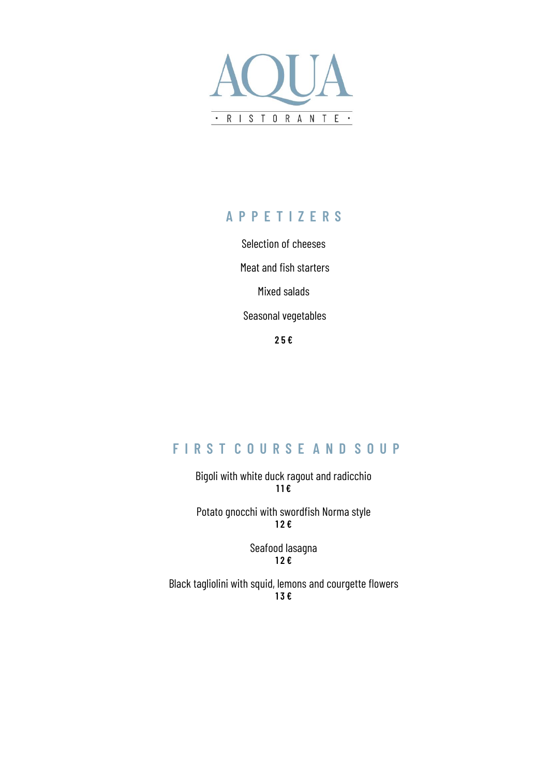

# **A P P E T I Z E R S**

Selection of cheeses Meat and fish starters Mixed salads Seasonal vegetables

**2 5 €**

# **F I R S T C O U R S E A N D S O U P**

Bigoli with white duck ragout and radicchio **1 1 €**

Potato gnocchi with swordfish Norma style **1 2 €**

> Seafood lasagna **1 2 €**

Black tagliolini with squid, lemons and courgette flowers **1 3 €**